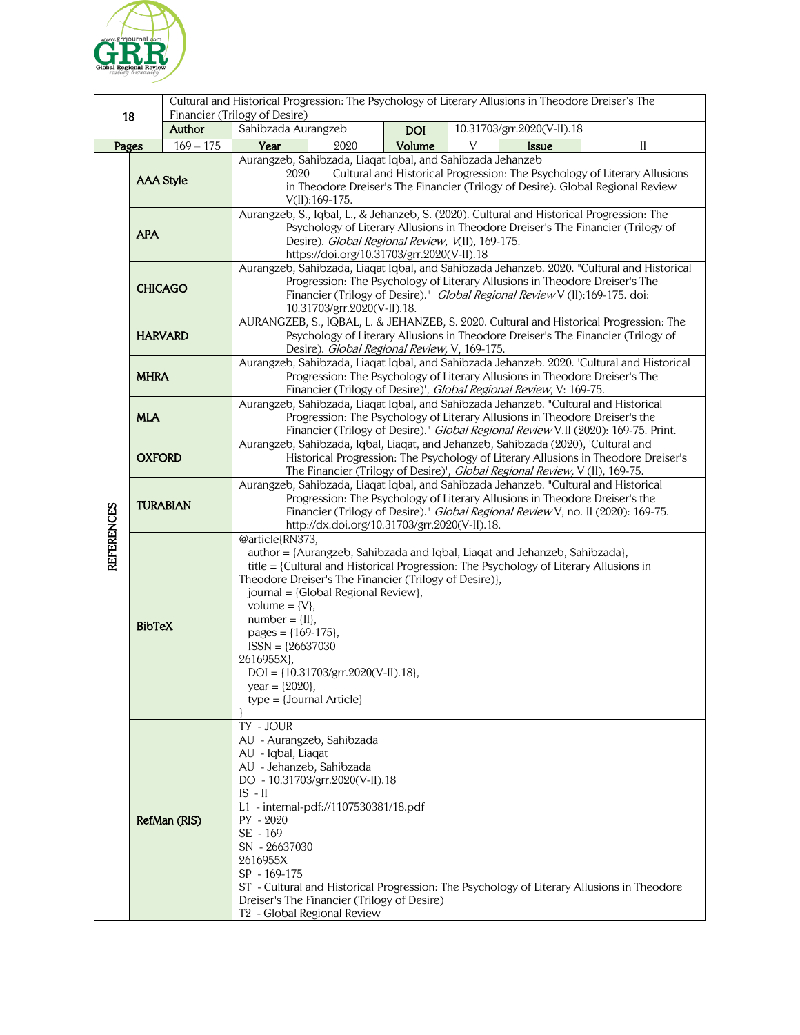

| 18                |                  |             | Cultural and Historical Progression: The Psychology of Literary Allusions in Theodore Dreiser's The<br>Financier (Trilogy of Desire)                                |            |                                                                                                                                                                            |  |
|-------------------|------------------|-------------|---------------------------------------------------------------------------------------------------------------------------------------------------------------------|------------|----------------------------------------------------------------------------------------------------------------------------------------------------------------------------|--|
|                   |                  | Author      | Sahibzada Aurangzeb                                                                                                                                                 | <b>DOI</b> | 10.31703/grr.2020(V-II).18                                                                                                                                                 |  |
| Pages             |                  | $169 - 175$ | Year<br>2020                                                                                                                                                        | Volume     | V<br>$\mathbf{I}$<br><b>Issue</b>                                                                                                                                          |  |
|                   |                  |             | Aurangzeb, Sahibzada, Liaqat Iqbal, and Sahibzada Jehanzeb                                                                                                          |            |                                                                                                                                                                            |  |
|                   | <b>AAA Style</b> |             | Cultural and Historical Progression: The Psychology of Literary Allusions<br>2020                                                                                   |            |                                                                                                                                                                            |  |
|                   |                  |             | in Theodore Dreiser's The Financier (Trilogy of Desire). Global Regional Review                                                                                     |            |                                                                                                                                                                            |  |
|                   | <b>APA</b>       |             | $V(II): 169-175.$<br>Aurangzeb, S., Iqbal, L., & Jehanzeb, S. (2020). Cultural and Historical Progression: The                                                      |            |                                                                                                                                                                            |  |
|                   |                  |             | Psychology of Literary Allusions in Theodore Dreiser's The Financier (Trilogy of                                                                                    |            |                                                                                                                                                                            |  |
|                   |                  |             | Desire). Global Regional Review, V(II), 169-175.                                                                                                                    |            |                                                                                                                                                                            |  |
|                   |                  |             | https://doi.org/10.31703/grr.2020(V-II).18<br>Aurangzeb, Sahibzada, Liaqat Iqbal, and Sahibzada Jehanzeb. 2020. "Cultural and Historical                            |            |                                                                                                                                                                            |  |
|                   | <b>CHICAGO</b>   |             |                                                                                                                                                                     |            | Progression: The Psychology of Literary Allusions in Theodore Dreiser's The                                                                                                |  |
|                   |                  |             | Financier (Trilogy of Desire)." Global Regional Review V (II):169-175. doi:                                                                                         |            |                                                                                                                                                                            |  |
|                   |                  |             | 10.31703/grr.2020(V-II).18.                                                                                                                                         |            |                                                                                                                                                                            |  |
|                   | <b>HARVARD</b>   |             |                                                                                                                                                                     |            | AURANGZEB, S., IQBAL, L. & JEHANZEB, S. 2020. Cultural and Historical Progression: The<br>Psychology of Literary Allusions in Theodore Dreiser's The Financier (Trilogy of |  |
|                   |                  |             | Desire). Global Regional Review, V, 169-175.                                                                                                                        |            |                                                                                                                                                                            |  |
|                   | <b>MHRA</b>      |             |                                                                                                                                                                     |            | Aurangzeb, Sahibzada, Liaqat Iqbal, and Sahibzada Jehanzeb. 2020. 'Cultural and Historical                                                                                 |  |
|                   |                  |             |                                                                                                                                                                     |            | Progression: The Psychology of Literary Allusions in Theodore Dreiser's The<br>Financier (Trilogy of Desire)', Global Regional Review, V: 169-75.                          |  |
|                   |                  |             |                                                                                                                                                                     |            | Aurangzeb, Sahibzada, Liaqat Iqbal, and Sahibzada Jehanzeb. "Cultural and Historical                                                                                       |  |
|                   | <b>MLA</b>       |             |                                                                                                                                                                     |            | Progression: The Psychology of Literary Allusions in Theodore Dreiser's the                                                                                                |  |
|                   |                  |             |                                                                                                                                                                     |            | Financier (Trilogy of Desire)." Global Regional Review V.II (2020): 169-75. Print.<br>Aurangzeb, Sahibzada, Iqbal, Liaqat, and Jehanzeb, Sahibzada (2020), 'Cultural and   |  |
|                   | <b>OXFORD</b>    |             |                                                                                                                                                                     |            | Historical Progression: The Psychology of Literary Allusions in Theodore Dreiser's                                                                                         |  |
|                   |                  |             |                                                                                                                                                                     |            | The Financier (Trilogy of Desire)', Global Regional Review, V (II), 169-75.                                                                                                |  |
|                   | <b>TURABIAN</b>  |             |                                                                                                                                                                     |            | Aurangzeb, Sahibzada, Liaqat Iqbal, and Sahibzada Jehanzeb. "Cultural and Historical                                                                                       |  |
|                   |                  |             | Progression: The Psychology of Literary Allusions in Theodore Dreiser's the<br>Financier (Trilogy of Desire)." Global Regional Review V, no. II (2020): 169-75.     |            |                                                                                                                                                                            |  |
|                   |                  |             | http://dx.doi.org/10.31703/grr.2020(V-II).18.                                                                                                                       |            |                                                                                                                                                                            |  |
| <b>REFERENCES</b> | <b>BibTeX</b>    |             | @article{RN373,                                                                                                                                                     |            |                                                                                                                                                                            |  |
|                   |                  |             | author = {Aurangzeb, Sahibzada and Iqbal, Liaqat and Jehanzeb, Sahibzada},<br>title = {Cultural and Historical Progression: The Psychology of Literary Allusions in |            |                                                                                                                                                                            |  |
|                   |                  |             | Theodore Dreiser's The Financier (Trilogy of Desire)},                                                                                                              |            |                                                                                                                                                                            |  |
|                   |                  |             | journal = {Global Regional Review},                                                                                                                                 |            |                                                                                                                                                                            |  |
|                   |                  |             | volume = $\{V\}$ ,<br>$number = \{II\},$                                                                                                                            |            |                                                                                                                                                                            |  |
|                   |                  |             | pages = ${169-175}$ ,                                                                                                                                               |            |                                                                                                                                                                            |  |
|                   |                  |             | $ISSN = {26637030}$                                                                                                                                                 |            |                                                                                                                                                                            |  |
|                   |                  |             | 2616955X},                                                                                                                                                          |            |                                                                                                                                                                            |  |
|                   |                  |             | $DOI = \{10.31703/grr.2020(V-II).18\},$<br>year = ${2020}$ ,                                                                                                        |            |                                                                                                                                                                            |  |
|                   |                  |             | $type = {Journal Article}$                                                                                                                                          |            |                                                                                                                                                                            |  |
|                   |                  |             |                                                                                                                                                                     |            |                                                                                                                                                                            |  |
|                   | RefMan (RIS)     |             | TY - JOUR<br>AU - Aurangzeb, Sahibzada                                                                                                                              |            |                                                                                                                                                                            |  |
|                   |                  |             | AU - Iqbal, Liaqat                                                                                                                                                  |            |                                                                                                                                                                            |  |
|                   |                  |             | AU - Jehanzeb, Sahibzada                                                                                                                                            |            |                                                                                                                                                                            |  |
|                   |                  |             | DO - 10.31703/grr.2020(V-II).18                                                                                                                                     |            |                                                                                                                                                                            |  |
|                   |                  |             | $IS - II$<br>L1 - internal-pdf://1107530381/18.pdf                                                                                                                  |            |                                                                                                                                                                            |  |
|                   |                  |             | PY - 2020                                                                                                                                                           |            |                                                                                                                                                                            |  |
|                   |                  |             | SE - 169                                                                                                                                                            |            |                                                                                                                                                                            |  |
|                   |                  |             | SN - 26637030<br>2616955X                                                                                                                                           |            |                                                                                                                                                                            |  |
|                   |                  |             | SP - 169-175                                                                                                                                                        |            |                                                                                                                                                                            |  |
|                   |                  |             |                                                                                                                                                                     |            | ST - Cultural and Historical Progression: The Psychology of Literary Allusions in Theodore                                                                                 |  |
|                   |                  |             | Dreiser's The Financier (Trilogy of Desire)                                                                                                                         |            |                                                                                                                                                                            |  |
|                   |                  |             | T <sub>2</sub> - Global Regional Review                                                                                                                             |            |                                                                                                                                                                            |  |